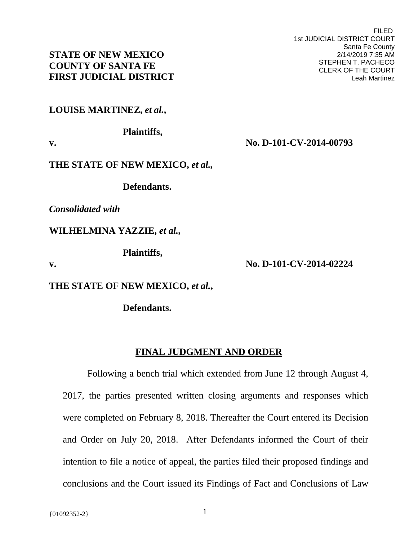### **STATE OF NEW MEXICO COUNTY OF SANTA FE FIRST JUDICIAL DISTRICT**

## **LOUISE MARTINEZ,** *et al.***,**

#### **Plaintiffs,**

**v. No. D-101-CV-2014-00793** 

## **THE STATE OF NEW MEXICO,** *et al.,*

 **Defendants.** 

*Consolidated with* 

**WILHELMINA YAZZIE,** *et al.,* 

 **Plaintiffs,** 

**v. No. D-101-CV-2014-02224** 

**THE STATE OF NEW MEXICO,** *et al.***,** 

 **Defendants.** 

# **FINAL JUDGMENT AND ORDER**

Following a bench trial which extended from June 12 through August 4, 2017, the parties presented written closing arguments and responses which were completed on February 8, 2018. Thereafter the Court entered its Decision and Order on July 20, 2018. After Defendants informed the Court of their intention to file a notice of appeal, the parties filed their proposed findings and conclusions and the Court issued its Findings of Fact and Conclusions of Law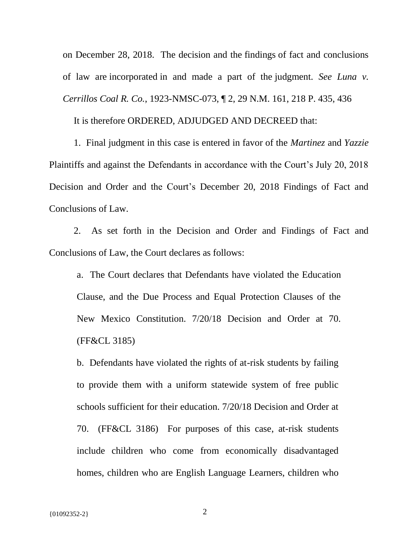on December 28, 2018. The decision and the findings of fact and conclusions of law are incorporated in and made a part of the judgment. *See Luna v. Cerrillos Coal R. Co.*, 1923-NMSC-073, ¶ 2, 29 N.M. 161, 218 P. 435, 436

It is therefore ORDERED, ADJUDGED AND DECREED that:

1. Final judgment in this case is entered in favor of the *Martinez* and *Yazzie* Plaintiffs and against the Defendants in accordance with the Court's July 20, 2018 Decision and Order and the Court's December 20, 2018 Findings of Fact and Conclusions of Law.

2. As set forth in the Decision and Order and Findings of Fact and Conclusions of Law, the Court declares as follows:

a. The Court declares that Defendants have violated the Education Clause, and the Due Process and Equal Protection Clauses of the New Mexico Constitution. 7/20/18 Decision and Order at 70. (FF&CL 3185)

b. Defendants have violated the rights of at-risk students by failing to provide them with a uniform statewide system of free public schools sufficient for their education. 7/20/18 Decision and Order at 70. (FF&CL 3186) For purposes of this case, at-risk students include children who come from economically disadvantaged homes, children who are English Language Learners, children who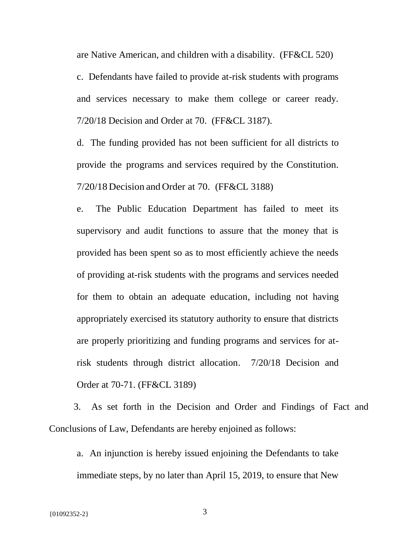are Native American, and children with a disability. (FF&CL 520) c. Defendants have failed to provide at-risk students with programs and services necessary to make them college or career ready. 7/20/18 Decision and Order at 70. (FF&CL 3187).

d. The funding provided has not been sufficient for all districts to provide the programs and services required by the Constitution. 7/20/18 Decision and Order at 70. (FF&CL 3188)

e. The Public Education Department has failed to meet its supervisory and audit functions to assure that the money that is provided has been spent so as to most efficiently achieve the needs of providing at-risk students with the programs and services needed for them to obtain an adequate education, including not having appropriately exercised its statutory authority to ensure that districts are properly prioritizing and funding programs and services for atrisk students through district allocation. 7/20/18 Decision and Order at 70-71. (FF&CL 3189)

3. As set forth in the Decision and Order and Findings of Fact and Conclusions of Law, Defendants are hereby enjoined as follows:

a. An injunction is hereby issued enjoining the Defendants to take immediate steps, by no later than April 15, 2019, to ensure that New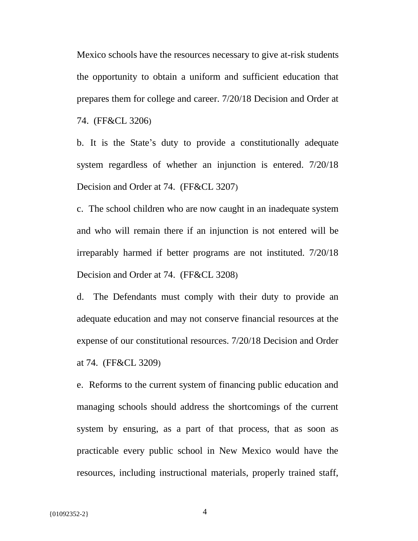Mexico schools have the resources necessary to give at-risk students the opportunity to obtain a uniform and sufficient education that prepares them for college and career. 7/20/18 Decision and Order at 74. (FF&CL 3206)

b. It is the State's duty to provide a constitutionally adequate system regardless of whether an injunction is entered.  $7/20/18$ Decision and Order at 74. (FF&CL 3207)

c. The school children who are now caught in an inadequate system and who will remain there if an injunction is not entered will be irreparably harmed if better programs are not instituted. 7/20/18 Decision and Order at 74. (FF&CL 3208)

d. The Defendants must comply with their duty to provide an adequate education and may not conserve financial resources at the expense of our constitutional resources. 7/20/18 Decision and Order at 74. (FF&CL 3209)

e. Reforms to the current system of financing public education and managing schools should address the shortcomings of the current system by ensuring, as a part of that process, that as soon as practicable every public school in New Mexico would have the resources, including instructional materials, properly trained staff,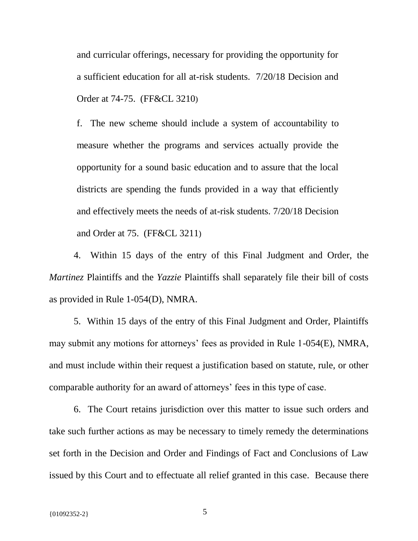and curricular offerings, necessary for providing the opportunity for a sufficient education for all at-risk students. 7/20/18 Decision and Order at 74-75. (FF&CL 3210)

f. The new scheme should include a system of accountability to measure whether the programs and services actually provide the opportunity for a sound basic education and to assure that the local districts are spending the funds provided in a way that efficiently and effectively meets the needs of at-risk students. 7/20/18 Decision and Order at 75. (FF&CL 3211)

4. Within 15 days of the entry of this Final Judgment and Order, the *Martinez* Plaintiffs and the *Yazzie* Plaintiffs shall separately file their bill of costs as provided in Rule 1-054(D), NMRA.

5. Within 15 days of the entry of this Final Judgment and Order, Plaintiffs may submit any motions for attorneys' fees as provided in Rule 1-054(E), NMRA, and must include within their request a justification based on statute, rule, or other comparable authority for an award of attorneys' fees in this type of case.

6. The Court retains jurisdiction over this matter to issue such orders and take such further actions as may be necessary to timely remedy the determinations set forth in the Decision and Order and Findings of Fact and Conclusions of Law issued by this Court and to effectuate all relief granted in this case. Because there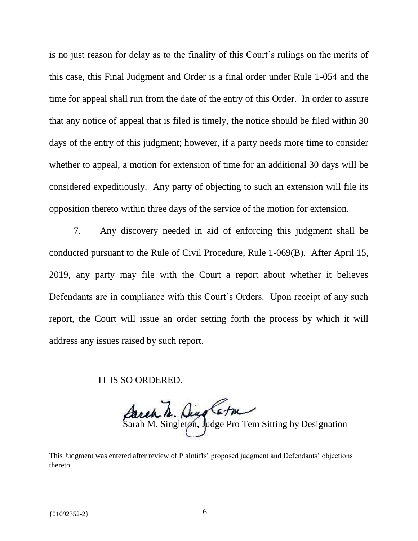is no just reason for delay as to the finality of this Court's rulings on the merits of this case, this Final Judgment and Order is a final order under Rule 1-054 and the time for appeal shall run from the date of the entry of this Order. In order to assure that any notice of appeal that is filed is timely, the notice should be filed within 30 days of the entry of this judgment; however, if a party needs more time to consider whether to appeal, a motion for extension of time for an additional 30 days will be considered expeditiously. Any party of objecting to such an extension will file its opposition thereto within three days of the service of the motion for extension.

7. Any discovery needed in aid of enforcing this judgment shall be conducted pursuant to the Rule of Civil Procedure, Rule 1-069(B). After April 15, 2019, any party may file with the Court a report about whether it believes Defendants are in compliance with this Court's Orders. Upon receipt of any such report, the Court will issue an order setting forth the process by which it will address any issues raised by such report.

IT IS SO ORDERED.

\_\_\_\_\_\_\_\_\_\_\_\_\_\_\_\_\_\_\_\_\_\_\_\_\_\_\_\_\_\_\_\_\_\_\_\_\_\_\_\_\_\_\_\_\_\_ Sarah M. Singleton, Judge Pro Tem Sitting by Designation

This Judgment was entered after review of Plaintiffs' proposed judgment and Defendants' objections thereto.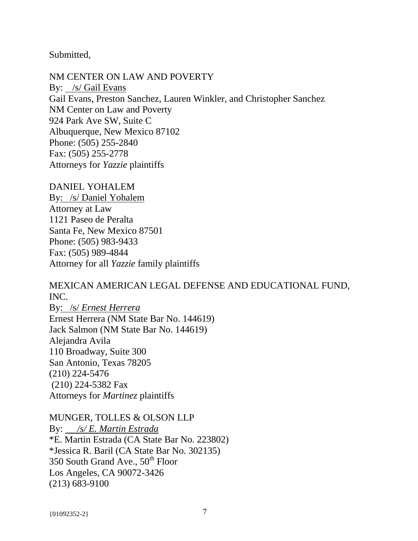Submitted,

NM CENTER ON LAW AND POVERTY By: /s/ Gail Evans Gail Evans, Preston Sanchez, Lauren Winkler, and Christopher Sanchez NM Center on Law and Poverty 924 Park Ave SW, Suite C Albuquerque, New Mexico 87102 Phone: (505) 255-2840 Fax: (505) 255-2778 Attorneys for *Yazzie* plaintiffs

DANIEL YOHALEM By: /s/ Daniel Yohalem Attorney at Law 1121 Paseo de Peralta Santa Fe, New Mexico 87501 Phone: (505) 983-9433 Fax: (505) 989-4844 Attorney for all *Yazzie* family plaintiffs

MEXICAN AMERICAN LEGAL DEFENSE AND EDUCATIONAL FUND, INC.

By: /s/ *Ernest Herrera* Ernest Herrera (NM State Bar No. 144619) Jack Salmon (NM State Bar No. 144619) Alejandra Avila 110 Broadway, Suite 300 San Antonio, Texas 78205 (210) 224-5476 (210) 224-5382 Fax Attorneys for *Martinez* plaintiffs

MUNGER, TOLLES & OLSON LLP By: */s/ E. Martin Estrada* \*E. Martin Estrada (CA State Bar No. 223802) \*Jessica R. Baril (CA State Bar No. 302135) 350 South Grand Ave.,  $50^{th}$  Floor Los Angeles, CA 90072-3426 (213) 683-9100